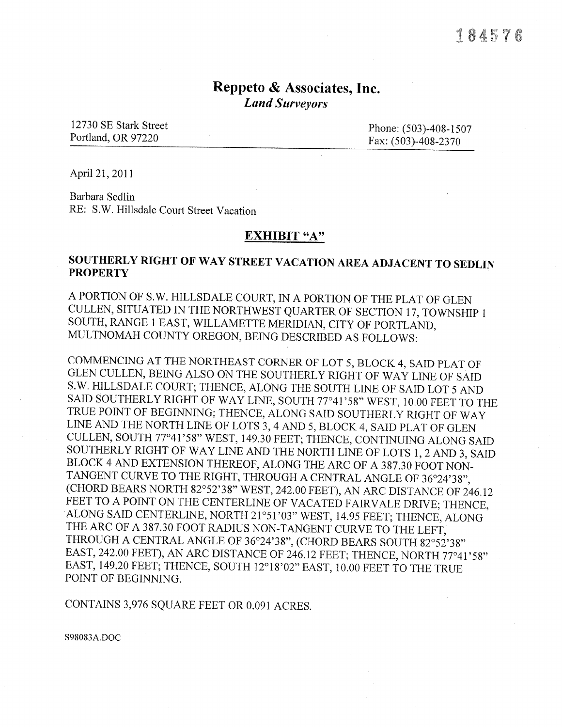### Reppeto  $\&$  Associates, Inc. Land Surveyors

12730 SE Stark Street Phone: (503)-408-1507 Portland, OR 97220

Fax: (503)-408-2370

April2I,2011

Barbara Sedlin RE: S.W. Hillsdale Court Street Vacation

#### EXHIBIT "A"

### SOUTHERLY RIGHT OF WAY STREET VACATION AREA ADJACENT TO SEDLIN **PROPERTY**

A PORTION OF S.W. HILLSDALE COURT, IN A PORTION OF THE PLAT OF GLEN CULLEN, SITUATED IN THE NORTHWEST QUARTER OF SECTION 17, TOWNSHIP I SOUTH, RANGE 1 EAST, WILLAMETTE MERIDIAN, CITY OF PORTLAND, MULTNOMAH COUNTY OREGON, BEING DESCRIBED AS FOLLOWS:

COMMENCING AT THE NORTHEAST CORNER OF LOT 5, BLOCK 4, SAID PLAT OF GLEN CULLEN, BEING ALSO ON THE SOUTHERLY RIGHT OF WAY LINE OF SAID S.W. HILLSDALE COURT; THENCE, ALONG THE SOUTH LINE OF SAID LOT 5 AND SAID SOUTHERLY RIGHT OF WAY LINE, SOUTH 77°41'58" WEST, 10.00 FEET TO THE TRUE POINT OF BEGINNING; THENCE, ALONG SAID SOUTHERLY RIGHT OF WAY LINE AND THE NORTH LINE OF LOTS 3, 4 AND 5, BLOCK 4, SAID PLAT OF GLEN CULLEN, SOUTH 77°41'58" WEST, 149.30 FEET; THENCE, CONTINUING ALONG SAID SOUTHERLY RIGHT OF WAY LINE AND THE NORTH LINE OF LOTS 1, 2 AND 3, SAID BLOCK 4 AND EXTENSION THEREOF, ALONG THE ARC OF A 387.30 FOOT NON-TANGENT CURVE TO THE RIGHT, THROUGH A CENTRAL ANGLE OF 36°24'38", (CHORD BEARS NORTH 82°52'38" WEST, 242.00 FEET), AN ARC DISTANCE OF 246.12<br>FEET TO A POINT ON THE CENTERLINE OF VACATED FAIRVALE DRIVE; THENCE, ALONG SAID CENTERLINE, NORTH 21°51'03" WEST, 14.95 FEET; THENCE, ALONG THE ARC OF A 387.30 FOOT RADIUS NON-TANGENT CURVE TO THE LEFT, THROUGH A CENTRAL ANGLE OF 36°24'38", (CHORD BEARS SOUTH 82°52'38" EAST, 242.00 FEET), AN ARC DISTANCE OF 246.12 FEET; THENCE, NORTH 77°41'58" EAST, 149.20 FEET; THENCE, SOUTH 12°18'02" EAST, 10.00 FEET TO THE TRUE POINT OF BEGINNING.

CONTAINS 3,976 SQUARE FEET OR 0.091 ACRES.

s98083A.DOC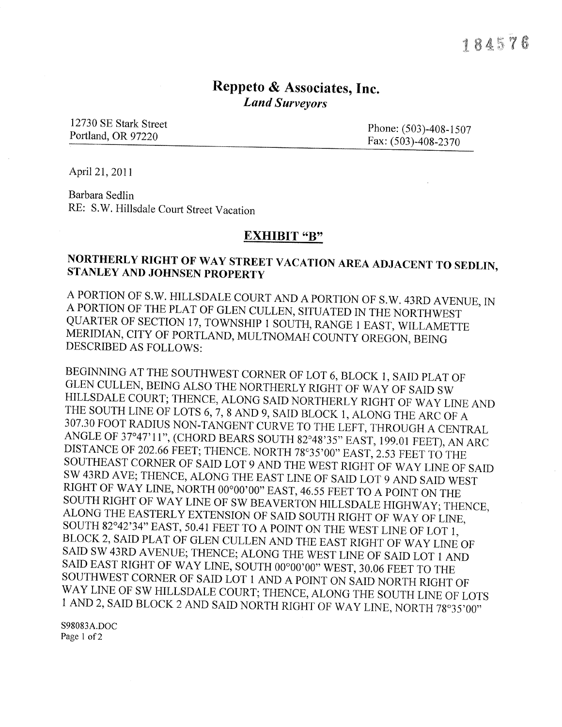# Reppeto & Associates, Inc. Land Surveyors

12730 SE Stark Street Phone: (503)-408-1507<br>Portland, OR 97220 Fax: (503)-408-2370

April 21, 2011

Barbara Sedlin RE: S.W. Hillsdale Court Street Vacation

#### EXHIBIT "B"

## NORTHERLY RIGHT OF WAY STREET VACATION AREA ADJACENT TO SEDLIN, STANLEY AND JOHNSEN PROPERTY

A PORTION OF S.W. HILLSDALE COURT AND A PORTION OF S.W. 43RD AVENUE, IN A PORTION OF THE PLAT OF GLEN CULLEN, SITUATED IN THE NOR'IHWEST QUARTER OF SECTION 17, TOWNSHIP I SOUTH, RANGE I EAST, WILLAMETTE MERIDIAN, CITY OF PORTLAND, MULTNOMAH COUNTY OREGON, BEING DESCRIBED AS FOLLOWS:

BEGINNING AT THE SOUTHWEST CORNER OF LOT 6, BLOCK 1, SAID PLAT OF GLEN CULLEN, BEING ALSO THE NORTHERLY RIGHT OF WAY OF SAID SW HILLSDALE COURT; THENCE, ALONG SAID NORTHERLY RIGHT OF WAY LINE AND THE SOUTH LINE OF LOTS 6, ANGLE OF 37°47'11", (CHORD BEARS SOUTH 82°48'35" EAST, 199.01 FEET), AN ARC DISTANCE OF 202.66 FEET; THENCE. NORTH 78°35'00" EAST, 2.53 FEET TO THE SOUTHEAST CORNER OF SAID LOT 9 AND THE WEST RIGHT OF WAY LINE OF SAID SW 1 AND 2, SAID BLOCK 2 AND SAID NORTH RIGHT OF WAY LINE, NORTH 78°35'00"

s98083A.DOC Page 1 of 2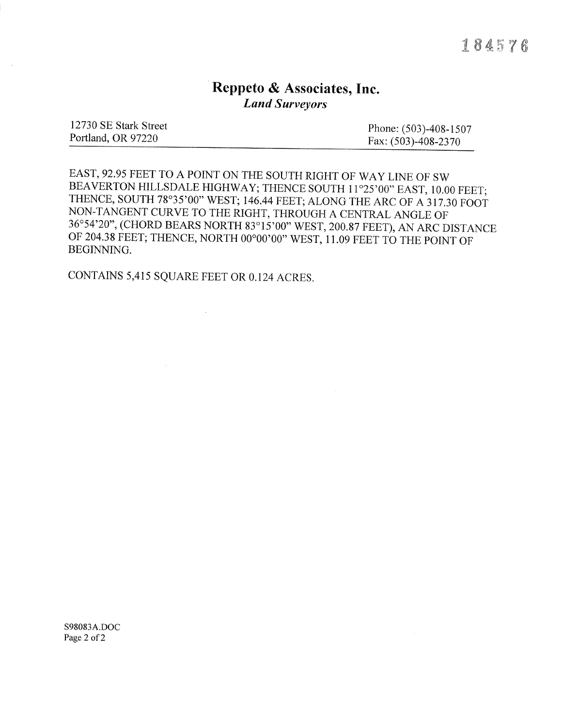# Reppeto & Associates, Inc. **Land Surveyors**

| 12730 SE Stark Street | Phone: $(503)$ -408-1507 |
|-----------------------|--------------------------|
| Portland, OR 97220    | Fax: $(503)$ -408-2370   |
|                       |                          |

EAST, 92.95 FEET TO A POINT ON THE SOUTH RIGHT OF WAY LINE OF SW BEAVERTON HILLSDALE HIGHWAY; THENCE SOUTH 11°25'00" EAST, 10.00 FEET; THENCE, SOUTH 78°35'00" WEST; 146.44 FEET; ALONG THE ARC OF A 317.30 FOOT NON-TANGENT CURVE TO THE RIGHT, THROUGH A CENTRAL ANGLE OF 36°54'20", (CHORD BEARS NORTH 83°15'00" WEST, 200.87 FEET), AN ARC DISTANCE OF 204.38 FEET; THENCE, NORTH 00°00'00" WEST, 11.09 FEET TO THE POINT OF BEGINNING.

CONTAINS 5,415 SQUARE FEET OR 0.124 ACRES.

S98083A,DOC Page 2 of 2